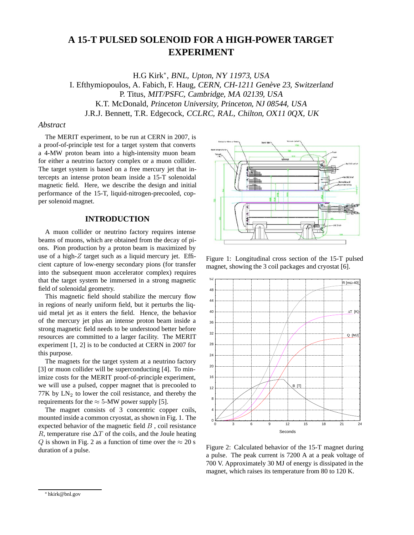# **A 15-T PULSED SOLENOID FOR A HIGH-POWER TARGET EXPERIMENT**

H.G Kirk∗, BNL, Upton, NY 11973, USA I. Efthymiopoulos, A. Fabich, F. Haug, CERN, CH-1211 Genève 23, Switzerland P. Titus, MIT/PSFC, Cambridge, MA 02139, USA K.T. McDonald, Princeton University, Princeton, NJ 08544, USA J.R.J. Bennett, T.R. Edgecock, CCLRC, RAL, Chilton, OX11 0QX, UK

#### *Abstract*

The MERIT experiment, to be run at CERN in 2007, is a proof-of-principle test for a target system that converts a 4-MW proton beam into a high-intensity muon beam for either a neutrino factory complex or a muon collider. The target system is based on a free mercury jet that intercepts an intense proton beam inside a 15-T solenoidal magnetic field. Here, we describe the design and initial performance of the 15-T, liquid-nitrogen-precooled, copper solenoid magnet.

# **INTRODUCTION**

A muon collider or neutrino factory requires intense beams of muons, which are obtained from the decay of pions. Pion production by a proton beam is maximized by use of a high-*Z* target such as a liquid mercury jet. Efficient capture of low-energy secondary pions (for transfer into the subsequent muon accelerator complex) requires that the target system be immersed in a strong magnetic field of solenoidal geometry.

This magnetic field should stabilize the mercury flow in regions of nearly uniform field, but it perturbs the liquid metal jet as it enters the field. Hence, the behavior of the mercury jet plus an intense proton beam inside a strong magnetic field needs to be understood better before resources are committed to a larger facility. The MERIT experiment [1, 2] is to be conducted at CERN in 2007 for this purpose.

The magnets for the target system at a neutrino factory [3] or muon collider will be superconducting [4]. To minimize costs for the MERIT proof-of-principle experiment, we will use a pulsed, copper magnet that is precooled to 77K by  $LN<sub>2</sub>$  to lower the coil resistance, and thereby the requirements for the  $\approx 5$ -MW power supply [5].

The magnet consists of 3 concentric copper coils, mounted inside a common cryostat, as shown in Fig. 1. The expected behavior of the magnetic field *B* , coil resistance *R*, temperature rise  $\Delta T$  of the coils, and the Joule heating *Q* is shown in Fig. 2 as a function of time over the  $\approx$  20 s duration of a pulse.



Figure 1: Longitudinal cross section of the 15-T pulsed magnet, showing the 3 coil packages and cryostat [6].



Figure 2: Calculated behavior of the 15-T magnet during a pulse. The peak current is 7200 A at a peak voltage of 700 V. Approximately 30 MJ of energy is dissipated in the magnet, which raises its temperature from 80 to 120 K.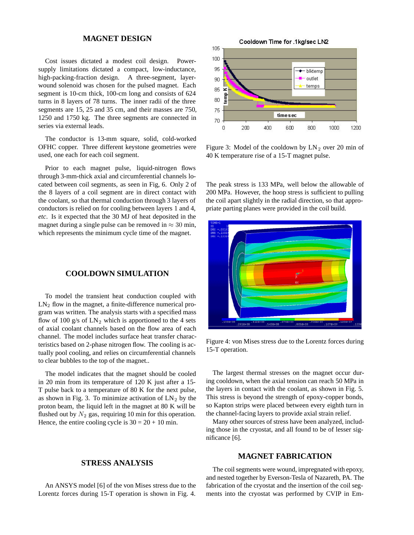## **MAGNET DESIGN**

Cost issues dictated a modest coil design. Powersupply limitations dictated a compact, low-inductance, high-packing-fraction design. A three-segment, layerwound solenoid was chosen for the pulsed magnet. Each segment is 10-cm thick, 100-cm long and consists of 624 turns in 8 layers of 78 turns. The inner radii of the three segments are 15, 25 and 35 cm, and their masses are 750, 1250 and 1750 kg. The three segments are connected in series via external leads.

The conductor is 13-mm square, solid, cold-worked OFHC copper. Three different keystone geometries were used, one each for each coil segment.

Prior to each magnet pulse, liquid-nitrogen flows through 3-mm-thick axial and circumferential channels located between coil segments, as seen in Fig, 6. Only 2 of the 8 layers of a coil segment are in direct contact with the coolant, so that thermal conduction through 3 layers of conductors is relied on for cooling between layers 1 and 4, *etc*. Is it expected that the 30 MJ of heat deposited in the magnet during a single pulse can be removed in  $\approx 30$  min, which represents the minimum cycle time of the magnet.

## **COOLDOWN SIMULATION**

To model the transient heat conduction coupled with  $LN<sub>2</sub>$  flow in the magnet, a finite-difference numerical program was written. The analysis starts with a specified mass flow of 100 g/s of  $LN_2$  which is apportioned to the 4 sets of axial coolant channels based on the flow area of each channel. The model includes surface heat transfer characteristics based on 2-phase nitrogen flow. The cooling is actually pool cooling, and relies on circumferential channels to clear bubbles to the top of the magnet..

The model indicates that the magnet should be cooled in 20 min from its temperature of 120 K just after a 15- T pulse back to a temperature of 80 K for the next pulse, as shown in Fig. 3. To minimize activation of  $LN_2$  by the proton beam, the liquid left in the magnet at 80 K will be flushed out by  $N_2$  gas, requiring 10 min for this operation. Hence, the entire cooling cycle is  $30 = 20 + 10$  min.

#### **STRESS ANALYSIS**

An ANSYS model [6] of the von Mises stress due to the Lorentz forces during 15-T operation is shown in Fig. 4.





Figure 3: Model of the cooldown by  $LN_2$  over 20 min of 40 K temperature rise of a 15-T magnet pulse.

The peak stress is 133 MPa, well below the allowable of 200 MPa. However, the hoop stress is sufficient to pulling the coil apart slightly in the radial direction, so that appropriate parting planes were provided in the coil build.



Figure 4: von Mises stress due to the Lorentz forces during 15-T operation.

The largest thermal stresses on the magnet occur during cooldown, when the axial tension can reach 50 MPa in the layers in contact with the coolant, as shown in Fig. 5. This stress is beyond the strength of epoxy-copper bonds, so Kapton strips were placed between every eighth turn in the channel-facing layers to provide axial strain relief.

Many other sources of stress have been analyzed, including those in the cryostat, and all found to be of lesser significance [6].

## **MAGNET FABRICATION**

The coil segments were wound, impregnated with epoxy, and nested together by Everson-Tesla of Nazareth, PA. The fabrication of the cryostat and the insertion of the coil segments into the cryostat was performed by CVIP in Em-